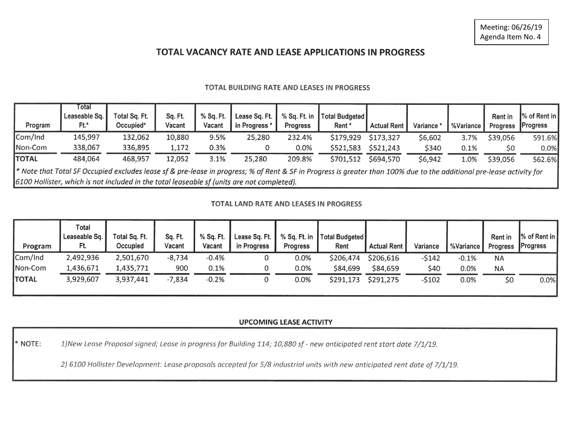# TOTAL VACANCY RATE AND LEASE APPLICATIONS IN PROGRESS

#### TOTAL BUILDING RATE AND LEASES IN PROGRESS

| Program                                                                                                                                                               | Total<br>Leaseable Sq.<br>Ft.* | Total Sq. Ft.<br>Occupied* | Sq. Ft.<br>Vacant | % Sq. Ft.<br>Vacant | Lease Sq. Ft.<br>in Progress* | % Sq. Ft. in<br><b>Progress</b> | Total Budgeted<br>Rent* | <b>Actual Rent</b> | Variance * | %Variance | <b>Rent in</b><br><b>Progress</b> | % of Rent in<br>Progress |
|-----------------------------------------------------------------------------------------------------------------------------------------------------------------------|--------------------------------|----------------------------|-------------------|---------------------|-------------------------------|---------------------------------|-------------------------|--------------------|------------|-----------|-----------------------------------|--------------------------|
| Com/Ind                                                                                                                                                               | 145,997                        | 132,062                    | 10,880            | 9.5%                | 25,280                        | 232.4%                          | \$179,929               | \$173,327          | \$6,602    | 3.7%      | \$39,056                          | 591.6%                   |
| Non-Com                                                                                                                                                               | 338,067                        | 336,895                    | 1,172             | 0.3%                |                               | 0.0%                            | \$521,583               | \$521,243          | \$340      | 0.1%      | \$0                               | $0.0\%$                  |
| <b>TOTAL</b>                                                                                                                                                          | 484,064                        | 468,957                    | 12,052            | 3.1%                | 25,280                        | 209.8%                          | \$701,512               | \$694,570          | \$6,942    | 1.0%      | \$39,056                          | 562.6%                   |
| * Note that Total SF Occupied excludes lease sf & pre-lease in progress; % of Rent & SF in Progress is greater than 100% due to the additional pre-lease activity for |                                |                            |                   |                     |                               |                                 |                         |                    |            |           |                                   |                          |
| 6100 Hollister, which is not included in the total leaseable sf (units are not completed).                                                                            |                                |                            |                   |                     |                               |                                 |                         |                    |            |           |                                   |                          |

#### TOTAL LAND RATE AND LEASES IN PROGRESS

| Program      | Total<br>Leaseable Sq.<br>Ft. | Total Sq. Ft.<br>Occupied | Sq. Ft.<br>Vacant | % Sq. Ft.<br>Vacant | Lease Sq. Ft.<br>in Progress | % Sq. Ft. in<br>Progress | Total Budgeted<br>Rent | <b>Actual Rent</b> | Variance | %Variance | Rent in<br><b>Progress</b> | % of Rent in<br><b>Progress</b> |
|--------------|-------------------------------|---------------------------|-------------------|---------------------|------------------------------|--------------------------|------------------------|--------------------|----------|-----------|----------------------------|---------------------------------|
| Com/Ind      | 2,492,936                     | 2,501,670                 | $-8,734$          | $-0.4%$             |                              | 0.0%                     | \$206,474              | \$206,616          | -\$142   | $-0.1%$   | ΝA                         |                                 |
| Non-Com      | 1,436,671                     | 1,435,771                 | 900               | 0.1%                |                              | 0.0%                     | \$84,699               | \$84,659           | \$40     | 0.0%      | NA                         |                                 |
| <b>TOTAL</b> | 3,929,607                     | 3,937,441                 | $-7,834$          | $-0.2%$             |                              | 0.0%                     | \$291,173              | \$291,275          | $-5102$  | 0.0%      | \$0                        | 0.0%                            |

### **UPCOMING LEASE ACTIVITY**

\* NOTE: 1) New Lease Proposal signed; Lease in progress for Building 114; 10,880 sf - new anticipated rent start date 7/1/19.

2) 6100 Hollister Development: Lease proposals accepted for 5/8 industrial units with new anticipated rent date of 7/1/19.